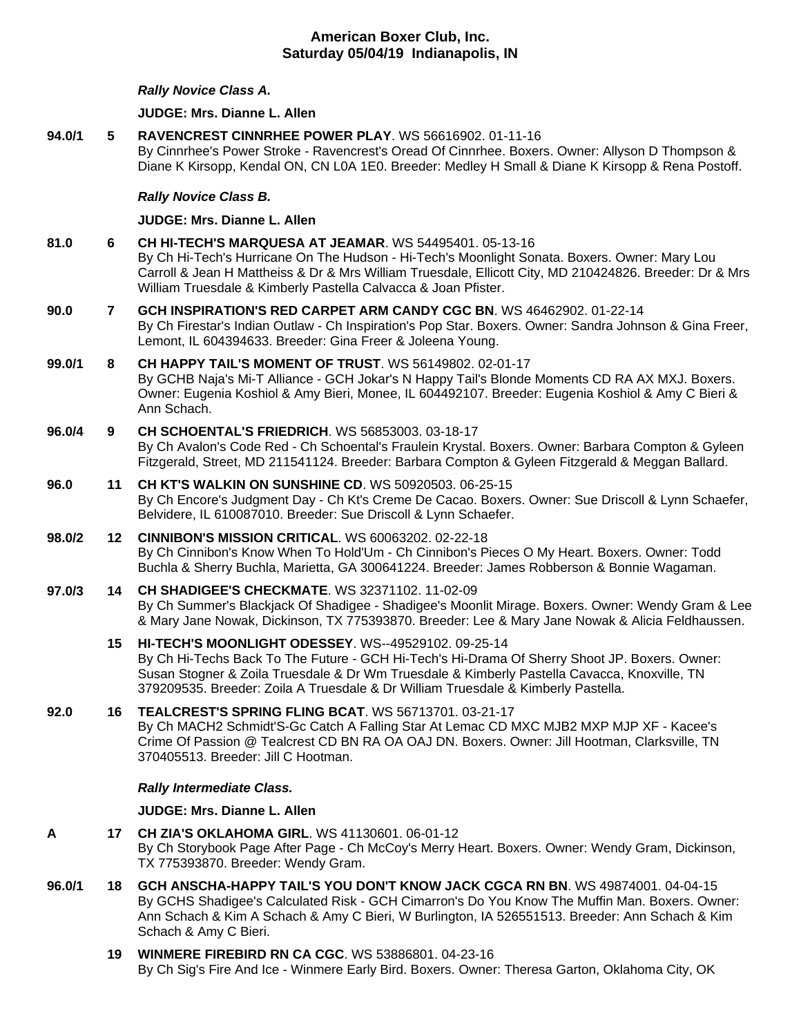# **American Boxer Club, Inc. Saturday 05/04/19 Indianapolis, IN**

## *Rally Novice Class A.*

#### **JUDGE: [Mrs. Dianne L. Allen](http://infodog.com/show/judge/jdgprofile.htm?jn=5494)**

**94.0/1 5 [RAVENCREST CINNRHEE POWER PLAY](http://infodog.com/my/drlookup2.htm?makc=WS%2056616902&mdog=Ravencrest+Cinnrhee+Power+Play&wins=all)**. WS 56616902. 01-11-16 By Cinnrhee's Power Stroke - Ravencrest's Oread Of Cinnrhee. Boxers. Owner: Allyson D Thompson & Diane K Kirsopp, Kendal ON, CN L0A 1E0. Breeder: Medley H Small & Diane K Kirsopp & Rena Postoff. *Rally Novice Class B.*

#### **JUDGE: [Mrs. Dianne L. Allen](http://infodog.com/show/judge/jdgprofile.htm?jn=5494)**

- **81.0 6 [CH HI-TECH'S MARQUESA AT JEAMAR](http://infodog.com/my/drlookup2.htm?makc=WS%2054495401&mdog=Ch+Hi-Tech%27s+Marquesa+At+Jeamar&wins=all)**. WS 54495401. 05-13-16 By Ch Hi-Tech's Hurricane On The Hudson - Hi-Tech's Moonlight Sonata. Boxers. Owner: Mary Lou Carroll & Jean H Mattheiss & Dr & Mrs William Truesdale, Ellicott City, MD 210424826. Breeder: Dr & Mrs William Truesdale & Kimberly Pastella Calvacca & Joan Pfister.
- **90.0 7 [GCH INSPIRATION'S RED CARPET ARM CANDY CGC BN](http://infodog.com/my/drlookup2.htm?makc=WS%2046462902&mdog=GCH+Inspiration%27s+Red+Carpet+Arm+Candy+CGC+BN&wins=all)**. WS 46462902. 01-22-14 By Ch Firestar's Indian Outlaw - Ch Inspiration's Pop Star. Boxers. Owner: Sandra Johnson & Gina Freer, Lemont, IL 604394633. Breeder: Gina Freer & Joleena Young.
- **99.0/1 8 [CH HAPPY TAIL'S MOMENT OF TRUST](http://infodog.com/my/drlookup2.htm?makc=WS%2056149802&mdog=Ch+Happy+Tail%27s+Moment+Of+Trust&wins=all)**. WS 56149802. 02-01-17 By GCHB Naja's Mi-T Alliance - GCH Jokar's N Happy Tail's Blonde Moments CD RA AX MXJ. Boxers. Owner: Eugenia Koshiol & Amy Bieri, Monee, IL 604492107. Breeder: Eugenia Koshiol & Amy C Bieri & Ann Schach.
- **96.0/4 9 [CH SCHOENTAL'S FRIEDRICH](http://infodog.com/my/drlookup2.htm?makc=WS%2056853003&mdog=Ch+Schoental%27s+Friedrich&wins=all)**. WS 56853003. 03-18-17 By Ch Avalon's Code Red - Ch Schoental's Fraulein Krystal. Boxers. Owner: Barbara Compton & Gyleen Fitzgerald, Street, MD 211541124. Breeder: Barbara Compton & Gyleen Fitzgerald & Meggan Ballard.
- **96.0 11 [CH KT'S WALKIN ON SUNSHINE CD](http://infodog.com/my/drlookup2.htm?makc=WS%2050920503&mdog=Ch+KT%27s+Walkin+On+Sunshine+CD&wins=all)**. WS 50920503. 06-25-15 By Ch Encore's Judgment Day - Ch Kt's Creme De Cacao. Boxers. Owner: Sue Driscoll & Lynn Schaefer, Belvidere, IL 610087010. Breeder: Sue Driscoll & Lynn Schaefer.
- **98.0/2 12 [CINNIBON'S MISSION CRITICAL](http://infodog.com/my/drlookup2.htm?makc=WS%2060063202&mdog=Cinnibon%27s+Mission+Critical&wins=all)**. WS 60063202. 02-22-18 By Ch Cinnibon's Know When To Hold'Um - Ch Cinnibon's Pieces O My Heart. Boxers. Owner: Todd Buchla & Sherry Buchla, Marietta, GA 300641224. Breeder: James Robberson & Bonnie Wagaman.
- **97.0/3 14 [CH SHADIGEE'S CHECKMATE](http://infodog.com/my/drlookup2.htm?makc=WS%2032371102&mdog=Ch+Shadigee%27s+Checkmate&wins=all)**. WS 32371102. 11-02-09 By Ch Summer's Blackjack Of Shadigee - Shadigee's Moonlit Mirage. Boxers. Owner: Wendy Gram & Lee & Mary Jane Nowak, Dickinson, TX 775393870. Breeder: Lee & Mary Jane Nowak & Alicia Feldhaussen.
	- **15 [HI-TECH'S MOONLIGHT ODESSEY](http://infodog.com/my/drlookup2.htm?makc=WS--49529102&mdog=Hi-Tech%27s+Moonlight+Odessey&wins=all)**. WS--49529102. 09-25-14 By Ch Hi-Techs Back To The Future - GCH Hi-Tech's Hi-Drama Of Sherry Shoot JP. Boxers. Owner: Susan Stogner & Zoila Truesdale & Dr Wm Truesdale & Kimberly Pastella Cavacca, Knoxville, TN 379209535. Breeder: Zoila A Truesdale & Dr William Truesdale & Kimberly Pastella.
- **92.0 16 [TEALCREST'S SPRING FLING BCAT](http://infodog.com/my/drlookup2.htm?makc=WS%2056713701&mdog=Tealcrest%27s+Spring+Fling+BCAT&wins=all)**. WS 56713701. 03-21-17 By Ch MACH2 Schmidt'S-Gc Catch A Falling Star At Lemac CD MXC MJB2 MXP MJP XF - Kacee's Crime Of Passion @ Tealcrest CD BN RA OA OAJ DN. Boxers. Owner: Jill Hootman, Clarksville, TN 370405513. Breeder: Jill C Hootman.

#### *Rally Intermediate Class.*

#### **JUDGE: [Mrs. Dianne L. Allen](http://infodog.com/show/judge/jdgprofile.htm?jn=5494)**

- **A 17 [CH ZIA'S OKLAHOMA GIRL](http://infodog.com/my/drlookup2.htm?makc=WS%2041130601&mdog=Ch+Zia%27s+Oklahoma+Girl&wins=all)**. WS 41130601. 06-01-12 By Ch Storybook Page After Page - Ch McCoy's Merry Heart. Boxers. Owner: Wendy Gram, Dickinson, TX 775393870. Breeder: Wendy Gram.
- **96.0/1 18 [GCH ANSCHA-HAPPY TAIL'S YOU DON'T KNOW JACK CGCA RN BN](http://infodog.com/my/drlookup2.htm?makc=WS%2049874001&mdog=GCH+Anscha-Happy+Tail%27s+You+Don%27t+Know+Jack+CGCA+RN+BN&wins=all)**. WS 49874001. 04-04-15 By GCHS Shadigee's Calculated Risk - GCH Cimarron's Do You Know The Muffin Man. Boxers. Owner: Ann Schach & Kim A Schach & Amy C Bieri, W Burlington, IA 526551513. Breeder: Ann Schach & Kim Schach & Amy C Bieri.
	- **19 [WINMERE FIREBIRD RN CA CGC](http://infodog.com/my/drlookup2.htm?makc=WS%2053886801&mdog=Winmere+Firebird+RN+CA+CGC&wins=all)**. WS 53886801. 04-23-16 By Ch Sig's Fire And Ice - Winmere Early Bird. Boxers. Owner: Theresa Garton, Oklahoma City, OK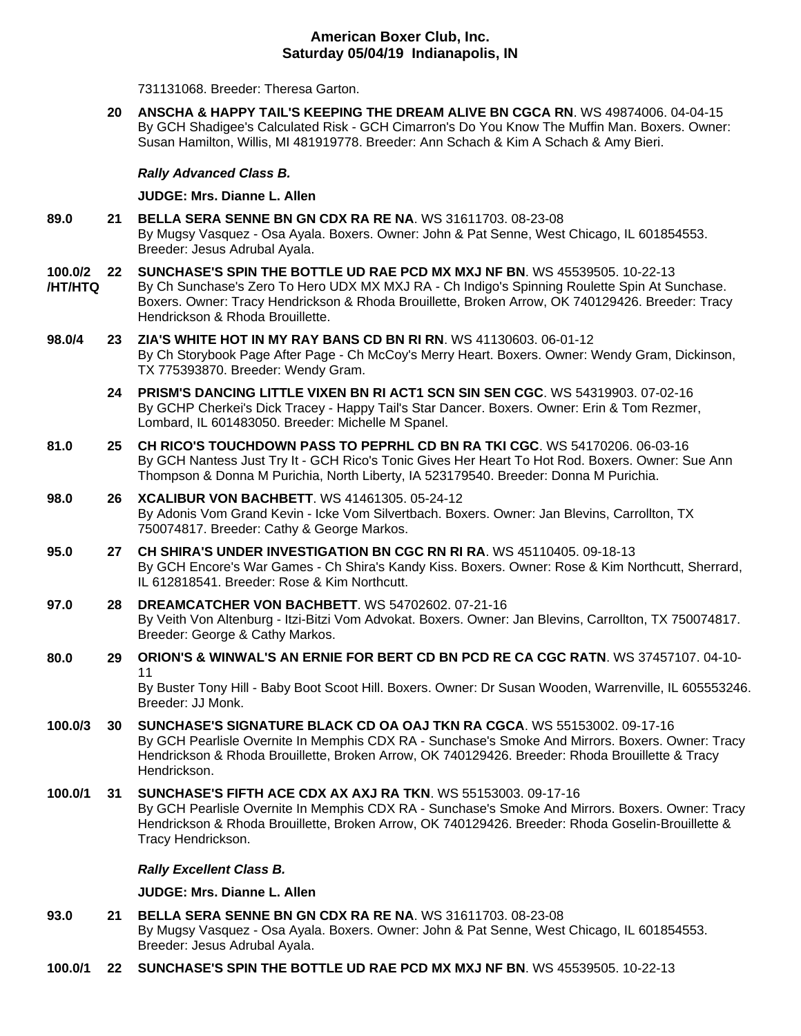# **American Boxer Club, Inc. Saturday 05/04/19 Indianapolis, IN**

731131068. Breeder: Theresa Garton.

**20 [ANSCHA & HAPPY TAIL'S KEEPING THE DREAM ALIVE BN CGCA RN](http://infodog.com/my/drlookup2.htm?makc=WS%2049874006&mdog=Anscha+&+Happy+Tail%27s+Keeping+The+Dream+Alive+BN+CGCA+RN&wins=all)**. WS 49874006. 04-04-15 By GCH Shadigee's Calculated Risk - GCH Cimarron's Do You Know The Muffin Man. Boxers. Owner: Susan Hamilton, Willis, MI 481919778. Breeder: Ann Schach & Kim A Schach & Amy Bieri.

## *Rally Advanced Class B.*

## **JUDGE: [Mrs. Dianne L. Allen](http://infodog.com/show/judge/jdgprofile.htm?jn=5494)**

- **89.0 21 [BELLA SERA SENNE BN GN CDX RA RE NA](http://infodog.com/my/drlookup2.htm?makc=WS%2031611703&mdog=Bella+Sera+Senne+BN+GN+CDX+RA+RE+NA&wins=all)**. WS 31611703. 08-23-08 By Mugsy Vasquez - Osa Ayala. Boxers. Owner: John & Pat Senne, West Chicago, IL 601854553. Breeder: Jesus Adrubal Ayala.
- **100.0/2 /HT/HTQ 22 [SUNCHASE'S SPIN THE BOTTLE UD RAE PCD MX MXJ NF BN](http://infodog.com/my/drlookup2.htm?makc=WS%2045539505&mdog=Sunchase%27s+Spin+The+Bottle+UD+RAE+PCD+MX+MXJ+NF+BN&wins=all)**. WS 45539505. 10-22-13 By Ch Sunchase's Zero To Hero UDX MX MXJ RA - Ch Indigo's Spinning Roulette Spin At Sunchase. Boxers. Owner: Tracy Hendrickson & Rhoda Brouillette, Broken Arrow, OK 740129426. Breeder: Tracy Hendrickson & Rhoda Brouillette.
- **98.0/4 23 [ZIA'S WHITE HOT IN MY RAY BANS CD BN RI RN](http://infodog.com/my/drlookup2.htm?makc=WS%2041130603&mdog=Zia%27s+White+Hot+In+My+Ray+Bans+CD+BN+RI+RN&wins=all)**. WS 41130603. 06-01-12 By Ch Storybook Page After Page - Ch McCoy's Merry Heart. Boxers. Owner: Wendy Gram, Dickinson, TX 775393870. Breeder: Wendy Gram.
	- **24 [PRISM'S DANCING LITTLE VIXEN BN RI ACT1 SCN SIN SEN CGC](http://infodog.com/my/drlookup2.htm?makc=WS%2054319903&mdog=Prism%27s+Dancing+Little+Vixen+BN+RI+ACT1+SCN+SIN+SEN+CGC&wins=all)**. WS 54319903. 07-02-16 By GCHP Cherkei's Dick Tracey - Happy Tail's Star Dancer. Boxers. Owner: Erin & Tom Rezmer, Lombard, IL 601483050. Breeder: Michelle M Spanel.
- **81.0 25 [CH RICO'S TOUCHDOWN PASS TO PEPRHL CD BN RA TKI CGC](http://infodog.com/my/drlookup2.htm?makc=WS%2054170206&mdog=Ch+Rico%27s+Touchdown+Pass+To+Peprhl+CD+BN+RA+TKI+CGC&wins=all)**. WS 54170206. 06-03-16 By GCH Nantess Just Try It - GCH Rico's Tonic Gives Her Heart To Hot Rod. Boxers. Owner: Sue Ann Thompson & Donna M Purichia, North Liberty, IA 523179540. Breeder: Donna M Purichia.
- **98.0 26 [XCALIBUR VON BACHBETT](http://infodog.com/my/drlookup2.htm?makc=WS%2041461305&mdog=Xcalibur+Von+Bachbett&wins=all)**. WS 41461305. 05-24-12 By Adonis Vom Grand Kevin - Icke Vom Silvertbach. Boxers. Owner: Jan Blevins, Carrollton, TX 750074817. Breeder: Cathy & George Markos.
- **95.0 27 [CH SHIRA'S UNDER INVESTIGATION BN CGC RN RI RA](http://infodog.com/my/drlookup2.htm?makc=WS%2045110405&mdog=Ch+Shira%27s+Under+Investigation+BN+CGC+RN+RI+RA&wins=all)**. WS 45110405. 09-18-13 By GCH Encore's War Games - Ch Shira's Kandy Kiss. Boxers. Owner: Rose & Kim Northcutt, Sherrard, IL 612818541. Breeder: Rose & Kim Northcutt.
- **97.0 28 [DREAMCATCHER VON BACHBETT](http://infodog.com/my/drlookup2.htm?makc=WS%2054702602&mdog=Dreamcatcher+Von+Bachbett&wins=all)**. WS 54702602. 07-21-16 By Veith Von Altenburg - Itzi-Bitzi Vom Advokat. Boxers. Owner: Jan Blevins, Carrollton, TX 750074817. Breeder: George & Cathy Markos.
- **80.0 29 [ORION'S & WINWAL'S AN ERNIE FOR BERT CD BN PCD RE CA CGC RATN](http://infodog.com/my/drlookup2.htm?makc=WS%2037457107&mdog=Orion%27s+&+Winwal%27s+An+Ernie+For+Bert+CD+BN+PCD+RE+CA+CGC+RATN&wins=all)**. WS 37457107. 04-10- 11

By Buster Tony Hill - Baby Boot Scoot Hill. Boxers. Owner: Dr Susan Wooden, Warrenville, IL 605553246. Breeder: JJ Monk.

- **100.0/3 30 [SUNCHASE'S SIGNATURE BLACK CD OA OAJ TKN RA CGCA](http://infodog.com/my/drlookup2.htm?makc=WS%2055153002&mdog=Sunchase%27s+Signature+Black+CD+OA+OAJ+TKN+RA+CGCA&wins=all)**. WS 55153002. 09-17-16 By GCH Pearlisle Overnite In Memphis CDX RA - Sunchase's Smoke And Mirrors. Boxers. Owner: Tracy Hendrickson & Rhoda Brouillette, Broken Arrow, OK 740129426. Breeder: Rhoda Brouillette & Tracy Hendrickson.
- **100.0/1 31 [SUNCHASE'S FIFTH ACE CDX AX AXJ RA TKN](http://infodog.com/my/drlookup2.htm?makc=WS%2055153003&mdog=Sunchase%27s+Fifth+Ace+CDX+AX+AXJ+RA+TKN&wins=all)**. WS 55153003. 09-17-16 By GCH Pearlisle Overnite In Memphis CDX RA - Sunchase's Smoke And Mirrors. Boxers. Owner: Tracy Hendrickson & Rhoda Brouillette, Broken Arrow, OK 740129426. Breeder: Rhoda Goselin-Brouillette & Tracy Hendrickson.

# *Rally Excellent Class B.*

**JUDGE: [Mrs. Dianne L. Allen](http://infodog.com/show/judge/jdgprofile.htm?jn=5494)**

- **93.0 21 [BELLA SERA SENNE BN](http://infodog.com/my/drlookup2.htm?makc=WS%2031611703&mdog=Bella+Sera+Senne+BN+GN+CDX+RA+RE+NA&wins=all) GN CDX RA RE NA**. WS 31611703. 08-23-08 By Mugsy Vasquez - Osa Ayala. Boxers. Owner: John & Pat Senne, West Chicago, IL 601854553. Breeder: Jesus Adrubal Ayala.
- **100.0/1 22 [SUNCHASE'S SPIN THE BOTTLE UD RAE PCD MX MXJ NF BN](http://infodog.com/my/drlookup2.htm?makc=WS%2045539505&mdog=Sunchase%27s+Spin+The+Bottle+UD+RAE+PCD+MX+MXJ+NF+BN&wins=all)**. WS 45539505. 10-22-13